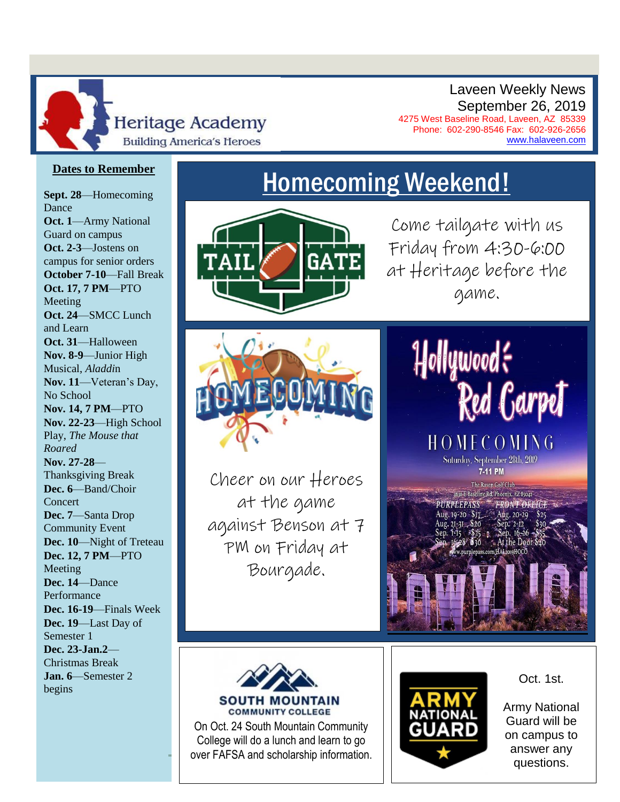

Laveen Weekly News September 26, 2019

4275 West Baseline Road, Laveen, AZ 85339 Phone: 602-290-8546 Fax: 602-926-2656 [www.halaveen.com](file:///C:/Users/bfarris/Documents/Weekly%20Annoucements/www.halaveen.com)

### **Dates to Remember**

**Sept. 28**—Homecoming Dance **Oct. 1**—Army National Guard on campus **Oct. 2-3**—Jostens on campus for senior orders **October 7-10**—Fall Break **Oct. 17, 7 PM**—PTO Meeting **Oct. 24**—SMCC Lunch and Learn **Oct. 31**—Halloween **Nov. 8-9**—Junior High Musical, *Aladdi*n **Nov. 11**—Veteran's Day, No School **Nov. 14, 7 PM**—PTO **Nov. 22-23**—High School Play, *The Mouse that Roared* **Nov. 27-28**— Thanksgiving Break **Dec. 6**—Band/Choir **Concert Dec. 7**—Santa Drop Community Event **Dec. 10**—Night of Treteau **Dec. 12, 7 PM**—PTO Meeting **Dec. 14**—Dance Performance **Dec. 16-19**—Finals Week **Dec. 19**—Last Day of Semester 1 **Dec. 23-Jan.2**— Christmas Break **Jan. 6**—Semester 2 begins



Come tailgate with us Friday from 4:30-6:00 at Heritage before the game.



Cheer on our Heroes at the game against Benson at 7 PM on Friday at Bourgade.







On Oct. 24 South Mountain Community College will do a lunch and learn to go over FAFSA and scholarship information.



Oct. 1st.

Army National Guard will be on campus to answer any questions.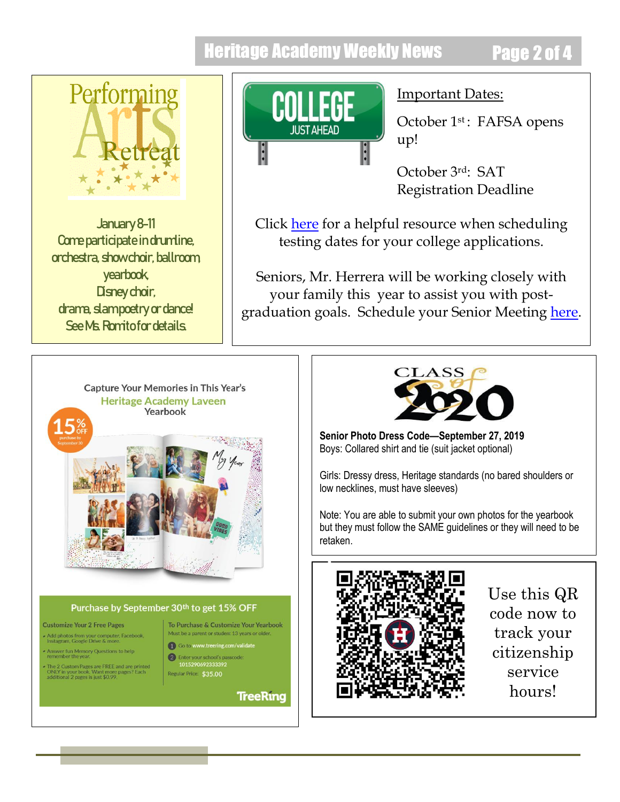## Heritage Academy Weekly News Page 2 of 4



January 8-11 Come participate in drumline, orchestra, show choir, ballroom, yearbook, Disney choir, drama, slampoetry or dance! See Ms. Romitofor details.



### Important Dates:

October 1<sup>st</sup>: FAFSA opens up!

October 3rd: SAT Registration Deadline

Click [here](https://www.phoenixpubliclibrary.org/collegedepot/Documents/Resources/Let) for a helpful resource when scheduling testing dates for your college applications.

Seniors, Mr. Herrera will be working closely with your family this year to assist you with postgraduation goals. Schedule your Senior Meeting [here.](file:///C:/Users/bfarris/Documents/Weekly%20Annoucements/here)



#### Purchase by September 30th to get 15% OFF

#### **Customize Your 2 Free Pages**

j

Add photos from your computer, Facebook,<br>Instagram, Google Drive & more.

Answer fun Memory Questions to help<br>remember the year.

The 2 Custom Pages are FREE and are printed<br>ONLY in your book. Want more pages? Each<br>additional 2 pages is just \$0.99.

To Purchase & Customize Your Yearbook Must be a parent or student 13 years or old

1 Go to www.treering.c 2 Enter your school's pas

101529069233339:<br>Regular Price: \$35,00

**TreeRing** 



**Senior Photo Dress Code—September 27, 2019** Boys: Collared shirt and tie (suit jacket optional)

Girls: Dressy dress, Heritage standards (no bared shoulders or low necklines, must have sleeves)

Note: You are able to submit your own photos for the yearbook but they must follow the SAME guidelines or they will need to be retaken.



Use this QR code now to track your citizenship service hours!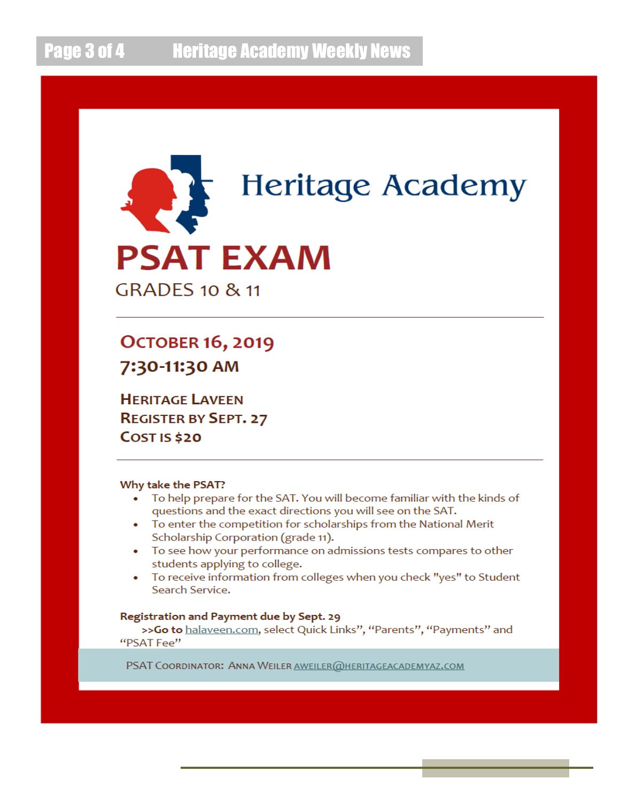

**OCTOBER 16, 2019** 7:30-11:30 AM

**HERITAGE LAVEEN REGISTER BY SEPT. 27 COST IS \$20** 

#### Why take the PSAT?

- To help prepare for the SAT. You will become familiar with the kinds of  $\bullet$ questions and the exact directions you will see on the SAT.
- To enter the competition for scholarships from the National Merit Scholarship Corporation (grade 11).
- To see how your performance on admissions tests compares to other students applying to college.
- To receive information from colleges when you check "yes" to Student Search Service.

#### Registration and Payment due by Sept. 29

>>Go to halaveen.com, select Quick Links", "Parents", "Payments" and "PSAT Fee"

PSAT COORDINATOR: ANNA WEILER AWEILER @HERITAGEACADEMYAZ.COM